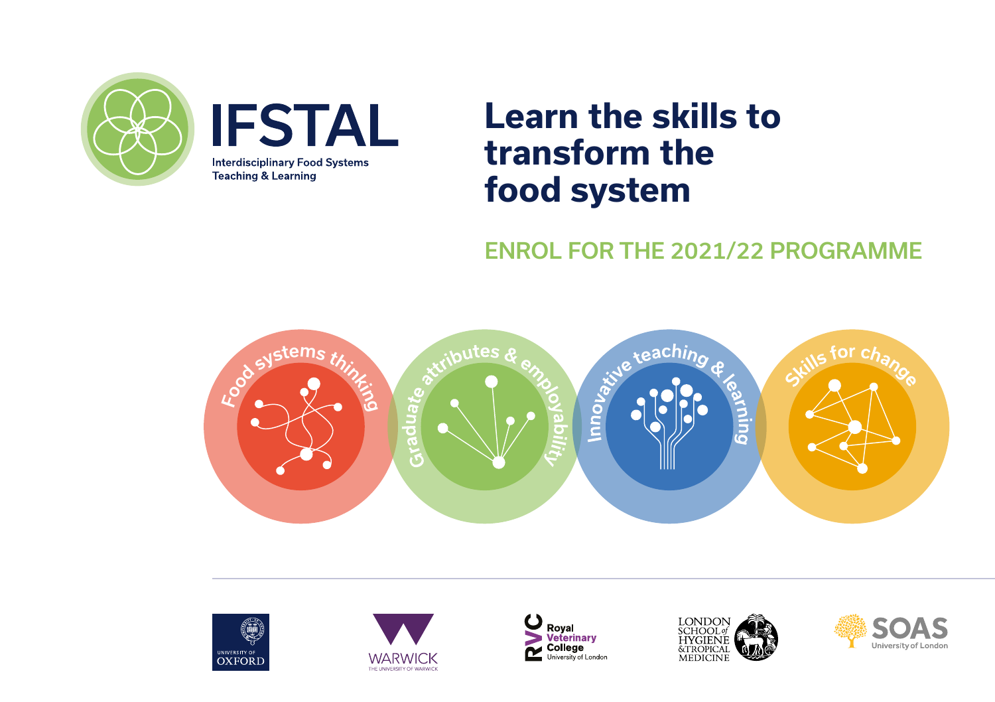



# **Learn the skills to transform the food system**

### ENROL FOR THE 2021/22 PROGRAMME











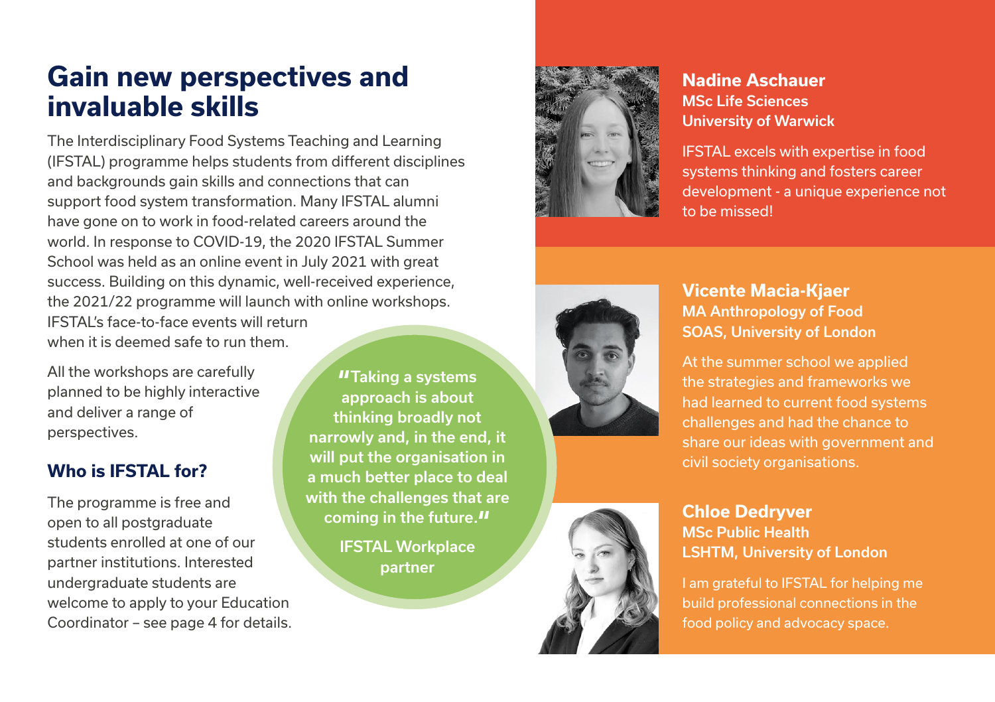### **Gain new perspectives and invaluable skills**

The Interdisciplinary Food Systems Teaching and Learning (IFSTAL) programme helps students from different disciplines and backgrounds gain skills and connections that can support food system transformation. Many IFSTAL alumni have gone on to work in food-related careers around the world. In response to COVID-19, the 2020 IFSTAL Summer School was held as an online event in July 2021 with great success. Building on this dynamic, well-received experience, the 2021/22 programme will launch with online workshops. IFSTAL's face-to-face events will return when it is deemed safe to run them.

All the workshops are carefully planned to be highly interactive and deliver a range of perspectives.

#### **Who is IFSTAL for?**

The programme is free and open to all postgraduate students enrolled at one of our partner institutions. Interested undergraduate students are welcome to apply to your Education Coordinator – see page 4 for details.

**"Taking a systems** approach is about thinking broadly not narrowly and, in the end, it will put the organisation in a much better place to deal with the challenges that are coming in the future. $\prime\prime$ 

> IFSTAL Workplace partner



#### **Nadine Aschauer** MSc Life Sciences University of Warwick

IFSTAL excels with expertise in food systems thinking and fosters career development - a unique experience not to be missed!



#### **Vicente Macia-Kjaer** MA Anthropology of Food SOAS, University of London

At the summer school we applied the strategies and frameworks we had learned to current food systems challenges and had the chance to share our ideas with government and civil society organisations.



#### **Chloe Dedryver** MSc Public Health LSHTM, University of London

I am grateful to IFSTAL for helping me build professional connections in the food policy and advocacy space.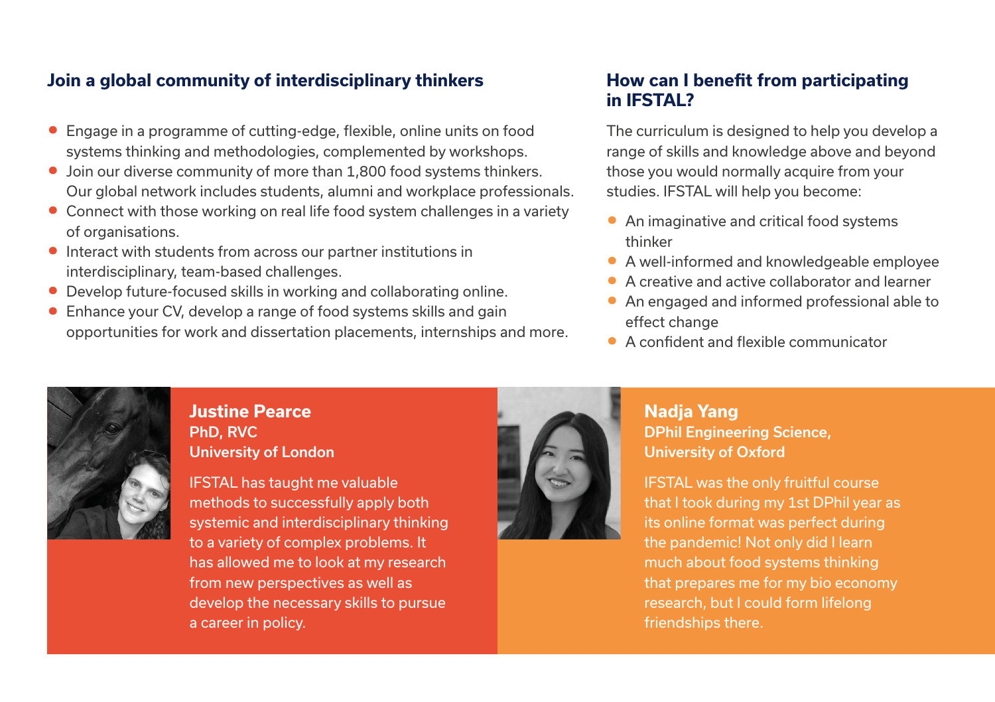#### **Join a global community of interdisciplinary thinkers**

- **•** Engage in a programme of cutting-edge, flexible, online units on food systems thinking and methodologies, complemented by workshops.
- **•** Join our diverse community of more than 1,800 food systems thinkers. Our global network includes students, alumni and workplace professionals.
- **•** Connect with those working on real life food system challenges in a variety of organisations.
- **•** Interact with students from across our partner institutions in interdisciplinary, team-based challenges.
- **•** Develop future-focused skills in working and collaborating online.
- **•** Enhance your CV, develop a range of food systems skills and gain opportunities for work and dissertation placements, internships and more.

#### **How can I benefit from participating in IFSTAL?**

The curriculum is designed to help you develop a range of skills and knowledge above and beyond those you would normally acquire from your studies. IFSTAL will help you become:

- **•** An imaginative and critical food systems thinker
- **•** A well-informed and knowledgeable employee
- **•** A creative and active collaborator and learner
- **•** An engaged and informed professional able to effect change
- **•** A confident and flexible communicator



#### **Justine Pearce** PhD, RVC University of London

IFSTAL has taught me valuable methods to successfully apply both systemic and interdisciplinary thinking to a variety of complex problems. It has allowed me to look at my research from new perspectives as well as develop the necessary skills to pursue a career in policy.



#### **Nadja Yang** DPhil Engineering Science, University of Oxford

IFSTAL was the only fruitful course that I took during my 1st DPhil year as its online format was perfect during the pandemic! Not only did I learn much about food systems thinking that prepares me for my bio economy research, but I could form lifelong friendships there.